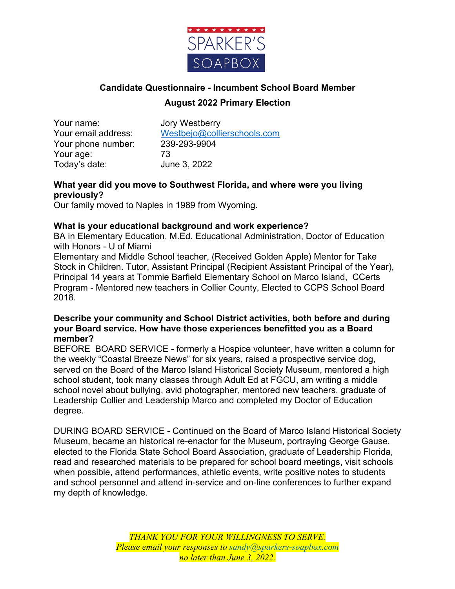

# **Candidate Questionnaire - Incumbent School Board Member August 2022 Primary Election**

Your name: Jory Westberry Your phone number: 239-293-9904 Your age: 73 Today's date: June 3, 2022

Your email address: Westbejo@collierschools.com

# **What year did you move to Southwest Florida, and where were you living previously?**

Our family moved to Naples in 1989 from Wyoming.

# **What is your educational background and work experience?**

BA in Elementary Education, M.Ed. Educational Administration, Doctor of Education with Honors - U of Miami

Elementary and Middle School teacher, (Received Golden Apple) Mentor for Take Stock in Children. Tutor, Assistant Principal (Recipient Assistant Principal of the Year), Principal 14 years at Tommie Barfield Elementary School on Marco Island, CCerts Program - Mentored new teachers in Collier County, Elected to CCPS School Board 2018.

#### **Describe your community and School District activities, both before and during your Board service. How have those experiences benefitted you as a Board member?**

BEFORE BOARD SERVICE - formerly a Hospice volunteer, have written a column for the weekly "Coastal Breeze News" for six years, raised a prospective service dog, served on the Board of the Marco Island Historical Society Museum, mentored a high school student, took many classes through Adult Ed at FGCU, am writing a middle school novel about bullying, avid photographer, mentored new teachers, graduate of Leadership Collier and Leadership Marco and completed my Doctor of Education degree.

DURING BOARD SERVICE - Continued on the Board of Marco Island Historical Society Museum, became an historical re-enactor for the Museum, portraying George Gause, elected to the Florida State School Board Association, graduate of Leadership Florida, read and researched materials to be prepared for school board meetings, visit schools when possible, attend performances, athletic events, write positive notes to students and school personnel and attend in-service and on-line conferences to further expand my depth of knowledge.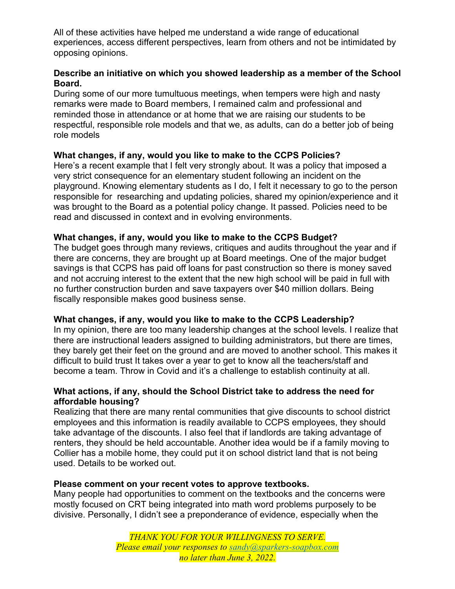All of these activities have helped me understand a wide range of educational experiences, access different perspectives, learn from others and not be intimidated by opposing opinions.

#### **Describe an initiative on which you showed leadership as a member of the School Board.**

During some of our more tumultuous meetings, when tempers were high and nasty remarks were made to Board members, I remained calm and professional and reminded those in attendance or at home that we are raising our students to be respectful, responsible role models and that we, as adults, can do a better job of being role models

# **What changes, if any, would you like to make to the CCPS Policies?**

Here's a recent example that I felt very strongly about. It was a policy that imposed a very strict consequence for an elementary student following an incident on the playground. Knowing elementary students as I do, I felt it necessary to go to the person responsible for researching and updating policies, shared my opinion/experience and it was brought to the Board as a potential policy change. It passed. Policies need to be read and discussed in context and in evolving environments.

# **What changes, if any, would you like to make to the CCPS Budget?**

The budget goes through many reviews, critiques and audits throughout the year and if there are concerns, they are brought up at Board meetings. One of the major budget savings is that CCPS has paid off loans for past construction so there is money saved and not accruing interest to the extent that the new high school will be paid in full with no further construction burden and save taxpayers over \$40 million dollars. Being fiscally responsible makes good business sense.

#### **What changes, if any, would you like to make to the CCPS Leadership?**

In my opinion, there are too many leadership changes at the school levels. I realize that there are instructional leaders assigned to building administrators, but there are times, they barely get their feet on the ground and are moved to another school. This makes it difficult to build trust It takes over a year to get to know all the teachers/staff and become a team. Throw in Covid and it's a challenge to establish continuity at all.

# **What actions, if any, should the School District take to address the need for affordable housing?**

Realizing that there are many rental communities that give discounts to school district employees and this information is readily available to CCPS employees, they should take advantage of the discounts. I also feel that if landlords are taking advantage of renters, they should be held accountable. Another idea would be if a family moving to Collier has a mobile home, they could put it on school district land that is not being used. Details to be worked out.

#### **Please comment on your recent votes to approve textbooks.**

Many people had opportunities to comment on the textbooks and the concerns were mostly focused on CRT being integrated into math word problems purposely to be divisive. Personally, I didn't see a preponderance of evidence, especially when the

> *THANK YOU FOR YOUR WILLINGNESS TO SERVE. Please email your responses to sandy@sparkers-soapbox.com no later than June 3, 2022.*